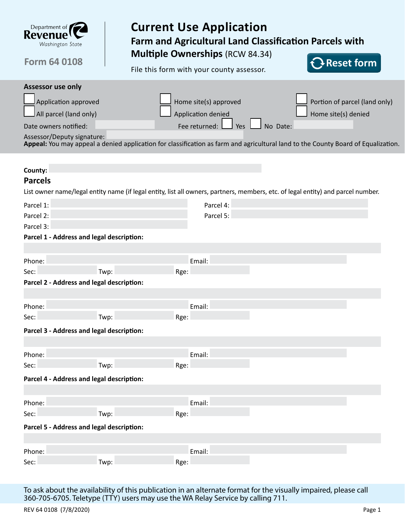

# **Current Use Application Farm and Agricultural Land Classification Parcels with Multiple Ownerships** (RCW 84.34)

**Reset form**

**Form 64 0108**

File this form with your county assessor.

| <b>Assessor use only</b>                  |      |                       |                 |                                                                                                                                   |  |  |  |
|-------------------------------------------|------|-----------------------|-----------------|-----------------------------------------------------------------------------------------------------------------------------------|--|--|--|
| Application approved                      |      | Home site(s) approved |                 | Portion of parcel (land only)                                                                                                     |  |  |  |
| All parcel (land only)                    |      | Application denied    |                 | Home site(s) denied                                                                                                               |  |  |  |
| Date owners notified:                     |      | Fee returned:         | No Date:<br>Yes |                                                                                                                                   |  |  |  |
| Assessor/Deputy signature:                |      |                       |                 |                                                                                                                                   |  |  |  |
|                                           |      |                       |                 | Appeal: You may appeal a denied application for classification as farm and agricultural land to the County Board of Equalization. |  |  |  |
|                                           |      |                       |                 |                                                                                                                                   |  |  |  |
| County:                                   |      |                       |                 |                                                                                                                                   |  |  |  |
| <b>Parcels</b>                            |      |                       |                 |                                                                                                                                   |  |  |  |
|                                           |      |                       |                 | List owner name/legal entity name (if legal entity, list all owners, partners, members, etc. of legal entity) and parcel number.  |  |  |  |
| Parcel 1:                                 |      | Parcel 4:             |                 |                                                                                                                                   |  |  |  |
| Parcel 2:                                 |      | Parcel 5:             |                 |                                                                                                                                   |  |  |  |
| Parcel 3:                                 |      |                       |                 |                                                                                                                                   |  |  |  |
| Parcel 1 - Address and legal description: |      |                       |                 |                                                                                                                                   |  |  |  |
|                                           |      |                       |                 |                                                                                                                                   |  |  |  |
| Phone:                                    |      | Email:                |                 |                                                                                                                                   |  |  |  |
| Sec:                                      | Twp: | Rge:                  |                 |                                                                                                                                   |  |  |  |
| Parcel 2 - Address and legal description: |      |                       |                 |                                                                                                                                   |  |  |  |
|                                           |      |                       |                 |                                                                                                                                   |  |  |  |
| Phone:                                    |      | Email:                |                 |                                                                                                                                   |  |  |  |
| Sec:                                      | Twp: | Rge:                  |                 |                                                                                                                                   |  |  |  |
| Parcel 3 - Address and legal description: |      |                       |                 |                                                                                                                                   |  |  |  |
|                                           |      |                       |                 |                                                                                                                                   |  |  |  |
| Phone:                                    |      | Email:                |                 |                                                                                                                                   |  |  |  |
| Sec:                                      | Twp: | Rge:                  |                 |                                                                                                                                   |  |  |  |
| Parcel 4 - Address and legal description: |      |                       |                 |                                                                                                                                   |  |  |  |
|                                           |      |                       |                 |                                                                                                                                   |  |  |  |
| Phone:                                    |      | Email:                |                 |                                                                                                                                   |  |  |  |
| Sec:                                      | Twp: | Rge:                  |                 |                                                                                                                                   |  |  |  |
| Parcel 5 - Address and legal description: |      |                       |                 |                                                                                                                                   |  |  |  |
|                                           |      |                       |                 |                                                                                                                                   |  |  |  |
| Phone:                                    |      | Email:                |                 |                                                                                                                                   |  |  |  |
| Sec:                                      | Twp: | Rge:                  |                 |                                                                                                                                   |  |  |  |
|                                           |      |                       |                 |                                                                                                                                   |  |  |  |

To ask about the availability of this publication in an alternate format for the visually impaired, please call 360-705-6705. Teletype (TTY) users may use the WA Relay Service by calling 711.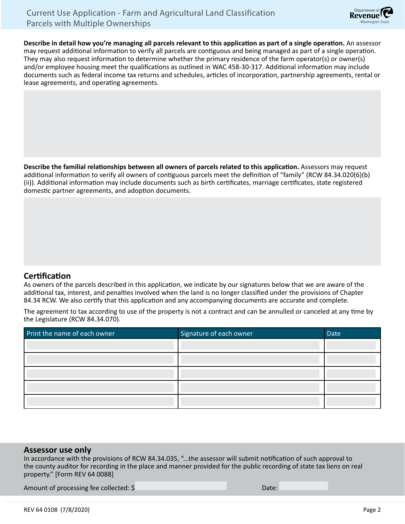

**Describe in detail how you're managing all parcels relevant to this application as part of a single operation.** An assessor may request additional information to verify all parcels are contiguous and being managed as part of a single operation. They may also request information to determine whether the primary residence of the farm operator(s) or owner(s) and/or employee housing meet the qualifications as outlined in WAC 458-30-317. Additional information may include documents such as federal income tax returns and schedules, articles of incorporation, partnership agreements, rental or lease agreements, and operating agreements.

**Describe the familial relationships between all owners of parcels related to this application.** Assessors may request additional information to verify all owners of contiguous parcels meet the definition of "family" (RCW 84.34.020(6)(b) (ii)). Additional information may include documents such as birth certificates, marriage certificates, state registered domestic partner agreements, and adoption documents.

### **Certification**

As owners of the parcels described in this application, we indicate by our signatures below that we are aware of the additional tax, interest, and penalties involved when the land is no longer classified under the provisions of Chapter 84.34 RCW. We also certify that this application and any accompanying documents are accurate and complete.

The agreement to tax according to use of the property is not a contract and can be annulled or canceled at any time by the Legislature (RCW 84.34.070).

| Print the name of each owner | Signature of each owner | Date |
|------------------------------|-------------------------|------|
|                              |                         |      |
|                              |                         |      |
|                              |                         |      |
|                              |                         |      |
|                              |                         |      |

#### **Assessor use only**

In accordance with the provisions of RCW 84.34.035, "...the assessor will submit notification of such approval to the county auditor for recording in the place and manner provided for the public recording of state tax liens on real property." [Form REV 64 0088]

Amount of processing fee collected: \$ Date: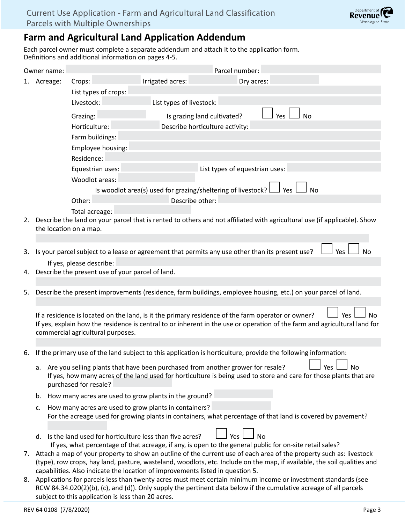# **Farm and Agricultural Land Application Addendum**

Each parcel owner must complete a separate addendum and attach it to the application form. Definitions and additional information on pages 4-5.

|    | Owner name:            |                                                                                                                                                                                                                                                 |                                 | Parcel number:                 |                  |            |  |  |
|----|------------------------|-------------------------------------------------------------------------------------------------------------------------------------------------------------------------------------------------------------------------------------------------|---------------------------------|--------------------------------|------------------|------------|--|--|
|    | 1. Acreage:            | Crops:                                                                                                                                                                                                                                          | Irrigated acres:                | Dry acres:                     |                  |            |  |  |
|    |                        | List types of crops:                                                                                                                                                                                                                            |                                 |                                |                  |            |  |  |
|    |                        | Livestock:                                                                                                                                                                                                                                      | List types of livestock:        |                                |                  |            |  |  |
|    |                        | Grazing:                                                                                                                                                                                                                                        | Is grazing land cultivated?     |                                | Yes<br><b>No</b> |            |  |  |
|    |                        | Horticulture:                                                                                                                                                                                                                                   | Describe horticulture activity: |                                |                  |            |  |  |
|    |                        | Farm buildings:                                                                                                                                                                                                                                 |                                 |                                |                  |            |  |  |
|    |                        | Employee housing:                                                                                                                                                                                                                               |                                 |                                |                  |            |  |  |
|    |                        | Residence:                                                                                                                                                                                                                                      |                                 |                                |                  |            |  |  |
|    |                        | Equestrian uses:                                                                                                                                                                                                                                |                                 | List types of equestrian uses: |                  |            |  |  |
|    |                        | Woodlot areas:                                                                                                                                                                                                                                  |                                 |                                |                  |            |  |  |
|    |                        | Is woodlot area(s) used for grazing/sheltering of livestock?<br>Yes<br>No                                                                                                                                                                       |                                 |                                |                  |            |  |  |
|    |                        | Other:                                                                                                                                                                                                                                          | Describe other:                 |                                |                  |            |  |  |
|    |                        | Total acreage:                                                                                                                                                                                                                                  |                                 |                                |                  |            |  |  |
| 2. | the location on a map. | Describe the land on your parcel that is rented to others and not affiliated with agricultural use (if applicable). Show                                                                                                                        |                                 |                                |                  |            |  |  |
|    |                        |                                                                                                                                                                                                                                                 |                                 |                                |                  |            |  |  |
| 3. |                        | Is your parcel subject to a lease or agreement that permits any use other than its present use?                                                                                                                                                 |                                 |                                |                  | Yes<br>No  |  |  |
|    |                        | If yes, please describe:                                                                                                                                                                                                                        |                                 |                                |                  |            |  |  |
| 4. |                        | Describe the present use of your parcel of land.                                                                                                                                                                                                |                                 |                                |                  |            |  |  |
|    |                        |                                                                                                                                                                                                                                                 |                                 |                                |                  |            |  |  |
| 5. |                        | Describe the present improvements (residence, farm buildings, employee housing, etc.) on your parcel of land.                                                                                                                                   |                                 |                                |                  |            |  |  |
|    |                        |                                                                                                                                                                                                                                                 |                                 |                                |                  |            |  |  |
|    |                        | If a residence is located on the land, is it the primary residence of the farm operator or owner?                                                                                                                                               |                                 |                                |                  | Yes<br>No. |  |  |
|    |                        | If yes, explain how the residence is central to or inherent in the use or operation of the farm and agricultural land for                                                                                                                       |                                 |                                |                  |            |  |  |
|    |                        | commercial agricultural purposes.                                                                                                                                                                                                               |                                 |                                |                  |            |  |  |
| 6. |                        | If the primary use of the land subject to this application is horticulture, provide the following information:                                                                                                                                  |                                 |                                |                  |            |  |  |
|    |                        |                                                                                                                                                                                                                                                 |                                 |                                |                  |            |  |  |
|    |                        | a. Are you selling plants that have been purchased from another grower for resale?<br>No<br>Yes<br>If yes, how many acres of the land used for horticulture is being used to store and care for those plants that are                           |                                 |                                |                  |            |  |  |
|    | purchased for resale?  |                                                                                                                                                                                                                                                 |                                 |                                |                  |            |  |  |
|    | b.                     | How many acres are used to grow plants in the ground?                                                                                                                                                                                           |                                 |                                |                  |            |  |  |
|    | c.                     | How many acres are used to grow plants in containers?                                                                                                                                                                                           |                                 |                                |                  |            |  |  |
|    |                        | For the acreage used for growing plants in containers, what percentage of that land is covered by pavement?                                                                                                                                     |                                 |                                |                  |            |  |  |
|    |                        |                                                                                                                                                                                                                                                 |                                 |                                |                  |            |  |  |
|    | d.                     | Yes<br>Is the land used for horticulture less than five acres?<br><b>No</b><br>If yes, what percentage of that acreage, if any, is open to the general public for on-site retail sales?                                                         |                                 |                                |                  |            |  |  |
| 7. |                        |                                                                                                                                                                                                                                                 |                                 |                                |                  |            |  |  |
|    |                        | Attach a map of your property to show an outline of the current use of each area of the property such as: livestock<br>(type), row crops, hay land, pasture, wasteland, woodlots, etc. Include on the map, if available, the soil qualities and |                                 |                                |                  |            |  |  |
|    |                        | capabilities. Also indicate the location of improvements listed in question 5.<br>Applications for parcels less than twenty acres must meet certain minimum income or investment standards (see                                                 |                                 |                                |                  |            |  |  |
| 8. |                        | RCW 84.34.020(2)(b), (c), and (d)). Only supply the pertinent data below if the cumulative acreage of all parcels                                                                                                                               |                                 |                                |                  |            |  |  |
|    |                        | subject to this application is less than 20 acres.                                                                                                                                                                                              |                                 |                                |                  |            |  |  |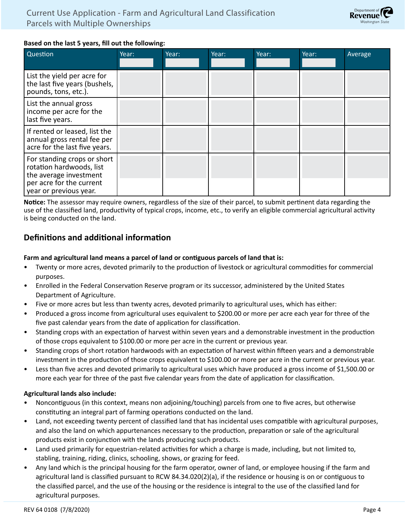

#### **Based on the last 5 years, fill out the following:**

| Question                                                                                      | Year: | Year: | Year: | Year: | Year: | Average |
|-----------------------------------------------------------------------------------------------|-------|-------|-------|-------|-------|---------|
|                                                                                               |       |       |       |       |       |         |
| List the yield per acre for<br>the last five years (bushels,<br>pounds, tons, etc.).          |       |       |       |       |       |         |
| List the annual gross<br>income per acre for the<br>last five years.                          |       |       |       |       |       |         |
| If rented or leased, list the<br>annual gross rental fee per<br>acre for the last five years. |       |       |       |       |       |         |
| For standing crops or short<br>rotation hardwoods, list<br>the average investment             |       |       |       |       |       |         |
| per acre for the current<br>year or previous year.                                            |       |       |       |       |       |         |

**Notice:** The assessor may require owners, regardless of the size of their parcel, to submit pertinent data regarding the use of the classified land, productivity of typical crops, income, etc., to verify an eligible commercial agricultural activity is being conducted on the land.

## **Definitions and additional information**

#### **Farm and agricultural land means a parcel of land or contiguous parcels of land that is:**

- Twenty or more acres, devoted primarily to the production of livestock or agricultural commodities for commercial purposes.
- Enrolled in the Federal Conservation Reserve program or its successor, administered by the United States Department of Agriculture.
- Five or more acres but less than twenty acres, devoted primarily to agricultural uses, which has either:
- Produced a gross income from agricultural uses equivalent to \$200.00 or more per acre each year for three of the five past calendar years from the date of application for classification.
- Standing crops with an expectation of harvest within seven years and a demonstrable investment in the production of those crops equivalent to \$100.00 or more per acre in the current or previous year.
- Standing crops of short rotation hardwoods with an expectation of harvest within fifteen years and a demonstrable investment in the production of those crops equivalent to \$100.00 or more per acre in the current or previous year.
- Less than five acres and devoted primarily to agricultural uses which have produced a gross income of \$1,500.00 or more each year for three of the past five calendar years from the date of application for classification.

### **Agricultural lands also include:**

- Noncontiguous (in this context, means non adjoining/touching) parcels from one to five acres, but otherwise constituting an integral part of farming operations conducted on the land.
- Land, not exceeding twenty percent of classified land that has incidental uses compatible with agricultural purposes, and also the land on which appurtenances necessary to the production, preparation or sale of the agricultural products exist in conjunction with the lands producing such products.
- Land used primarily for equestrian-related activities for which a charge is made, including, but not limited to, stabling, training, riding, clinics, schooling, shows, or grazing for feed.
- Any land which is the principal housing for the farm operator, owner of land, or employee housing if the farm and agricultural land is classified pursuant to RCW 84.34.020(2)(a), if the residence or housing is on or contiguous to the classified parcel, and the use of the housing or the residence is integral to the use of the classified land for agricultural purposes.